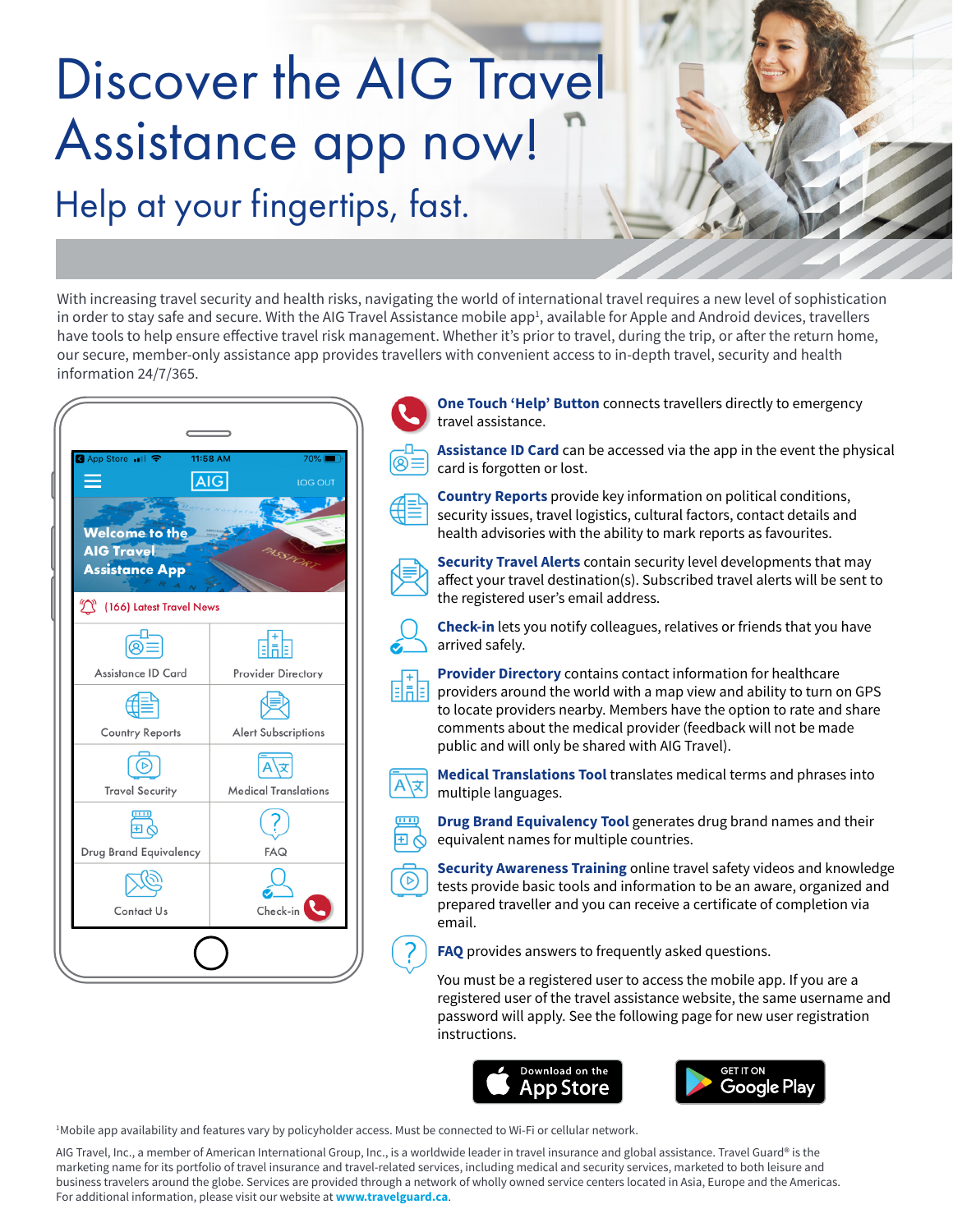# Discover the AIG Travel Assistance app now! Help at your fingertips, fast.

With increasing travel security and health risks, navigating the world of international travel requires a new level of sophistication in order to stay safe and secure. With the AIG Travel Assistance mobile app<del>'</del>, available for Apple and Android devices, travellers have tools to help ensure effective travel risk management. Whether it's prior to travel, during the trip, or after the return home, our secure, member-only assistance app provides travellers with convenient access to in-depth travel, security and health information 24/7/365.

| K App Store 11 字<br>$\equiv$                                 | 11:58 AM<br>$70\%$<br>AIG<br>LOG OUT |
|--------------------------------------------------------------|--------------------------------------|
| Welcome to the<br><b>AIG Travel</b><br><b>Assistance App</b> | NSSP                                 |
| $\widehat{\mathbb{C}}$<br>(166) Latest Travel News           |                                      |
| මේ≣                                                          | 霝                                    |
| Assistance ID Card                                           | <b>Provider Directory</b>            |
|                                                              |                                      |
| <b>Country Reports</b>                                       | <b>Alert Subscriptions</b>           |
|                                                              |                                      |
| <b>Travel Security</b>                                       | <b>Medical Translations</b>          |
|                                                              |                                      |
| Drug Brand Equivalency                                       | FAQ                                  |
|                                                              |                                      |
| Contact Us                                                   | Check-in                             |
|                                                              |                                      |



**One Touch 'Help' Button** connects travellers directly to emergency travel assistance.

**Assistance ID Card** can be accessed via the app in the event the physical card is forgotten or lost.

**Country Reports** provide key information on political conditions, security issues, travel logistics, cultural factors, contact details and health advisories with the ability to mark reports as favourites.



**Security Travel Alerts** contain security level developments that may affect your travel destination(s). Subscribed travel alerts will be sent to the registered user's email address.

**Check-in** lets you notify colleagues, relatives or friends that you have arrived safely.

**Provider Directory** contains contact information for healthcare providers around the world with a map view and ability to turn on GPS to locate providers nearby. Members have the option to rate and share comments about the medical provider (feedback will not be made public and will only be shared with AIG Travel).

**Medical Translations Tool** translates medical terms and phrases into multiple languages.

**Drug Brand Equivalency Tool** generates drug brand names and their equivalent names for multiple countries.

**Security Awareness Training** online travel safety videos and knowledge tests provide basic tools and information to be an aware, organized and prepared traveller and you can receive a certificate of completion via email.

**FAQ** provides answers to frequently asked questions.

You must be a registered user to access the mobile app. If you are a registered user of the travel assistance website, the same username and password will apply. See the following page for new user registration instructions.





1 Mobile app availability and features vary by policyholder access. Must be connected to Wi-Fi or cellular network.

AIG Travel, Inc., a member of American International Group, Inc., is a worldwide leader in travel insurance and global assistance. Travel Guard® is the marketing name for its portfolio of travel insurance and travel-related services, including medical and security services, marketed to both leisure and business travelers around the globe. Services are provided through a network of wholly owned service centers located in Asia, Europe and the Americas. For additional information, please visit our website at **www.travelguard.ca**.